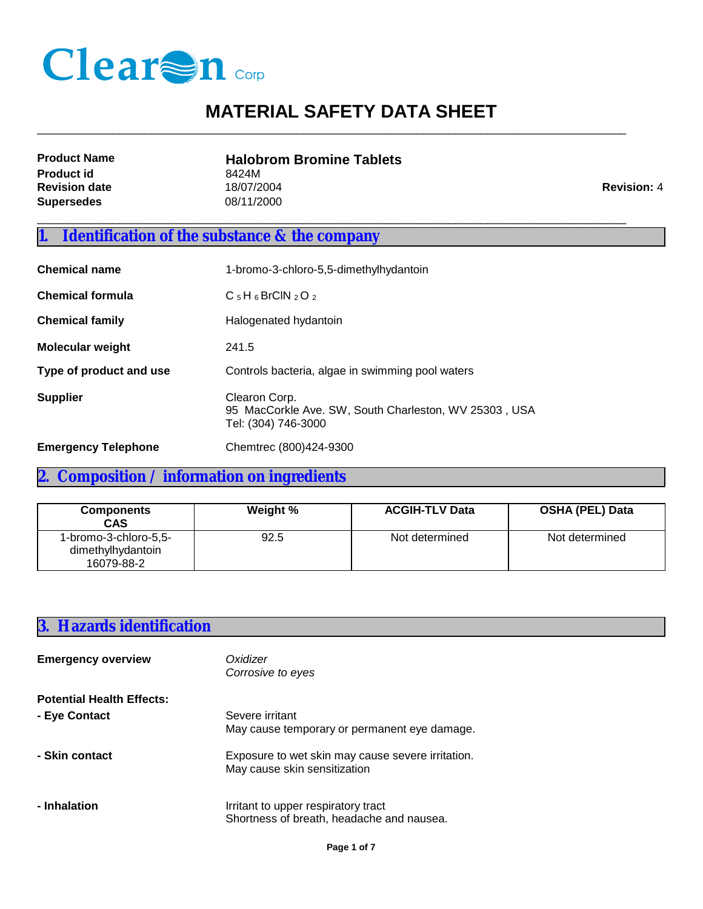

 $\_$  ,  $\_$  ,  $\_$  ,  $\_$  ,  $\_$  ,  $\_$  ,  $\_$  ,  $\_$  ,  $\_$  ,  $\_$  ,  $\_$  ,  $\_$  ,  $\_$  ,  $\_$  ,  $\_$  ,  $\_$  ,  $\_$  ,  $\_$  ,  $\_$  ,  $\_$  ,  $\_$  ,  $\_$  ,  $\_$  ,  $\_$  ,  $\_$  ,  $\_$  ,  $\_$  ,  $\_$  ,  $\_$  ,  $\_$  ,  $\_$  ,  $\_$  ,  $\_$  ,  $\_$  ,  $\_$  ,  $\_$  ,  $\_$  ,

| <b>Product Name</b>  | <b>Halobrom Bromine Tablets</b> |                    |
|----------------------|---------------------------------|--------------------|
| <b>Product id</b>    | 8424M                           |                    |
| <b>Revision date</b> | 18/07/2004                      | <b>Revision: 4</b> |
| Supersedes           | 08/11/2000                      |                    |
|                      |                                 |                    |

## **1. Identification of the substance & the company**

| <b>Chemical name</b>       | 1-bromo-3-chloro-5,5-dimethylhydantoin                                                        |  |
|----------------------------|-----------------------------------------------------------------------------------------------|--|
| <b>Chemical formula</b>    | $C_5H_6BrClN_2O_2$                                                                            |  |
| <b>Chemical family</b>     | Halogenated hydantoin                                                                         |  |
| <b>Molecular weight</b>    | 241.5                                                                                         |  |
| Type of product and use    | Controls bacteria, algae in swimming pool waters                                              |  |
| <b>Supplier</b>            | Clearon Corp.<br>95 MacCorkle Ave. SW, South Charleston, WV 25303, USA<br>Tel: (304) 746-3000 |  |
| <b>Emergency Telephone</b> | Chemtrec (800)424-9300                                                                        |  |

## **2. Composition / information on ingredients**

| <b>Components</b><br><b>CAS</b>                          | Weight % | <b>ACGIH-TLV Data</b> | <b>OSHA (PEL) Data</b> |
|----------------------------------------------------------|----------|-----------------------|------------------------|
| 1-bromo-3-chloro-5,5-<br>dimethylhydantoin<br>16079-88-2 | 92.5     | Not determined        | Not determined         |

#### **3. Hazards identification**

| <b>Emergency overview</b>        | Oxidizer<br>Corrosive to eyes                                                     |
|----------------------------------|-----------------------------------------------------------------------------------|
| <b>Potential Health Effects:</b> |                                                                                   |
| - Eye Contact                    | Severe irritant<br>May cause temporary or permanent eye damage.                   |
| - Skin contact                   | Exposure to wet skin may cause severe irritation.<br>May cause skin sensitization |
| - Inhalation                     | Irritant to upper respiratory tract<br>Shortness of breath, headache and nausea.  |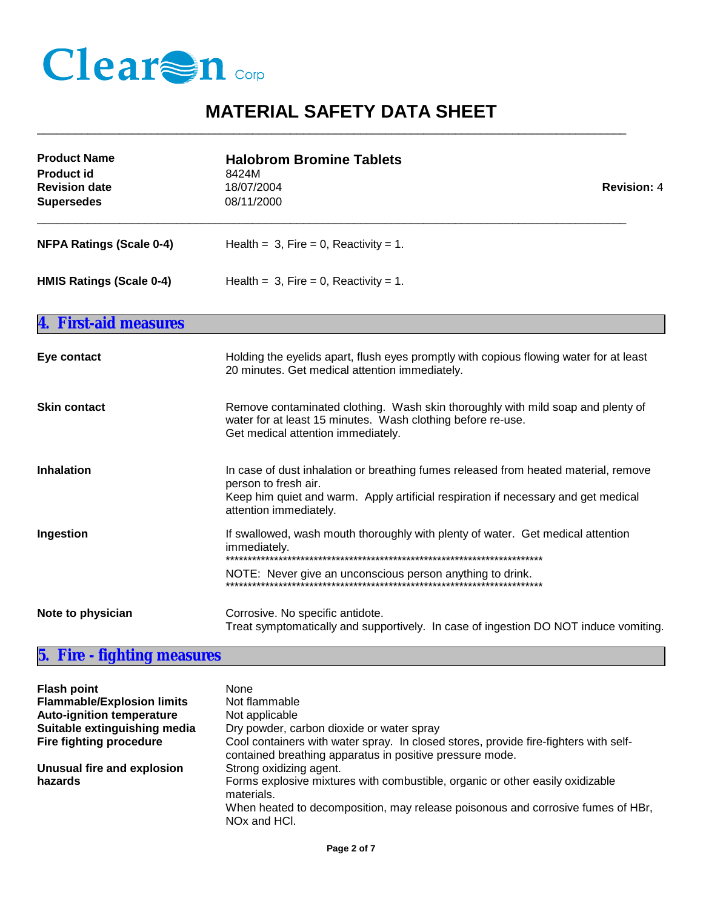

 $\_$  ,  $\_$  ,  $\_$  ,  $\_$  ,  $\_$  ,  $\_$  ,  $\_$  ,  $\_$  ,  $\_$  ,  $\_$  ,  $\_$  ,  $\_$  ,  $\_$  ,  $\_$  ,  $\_$  ,  $\_$  ,  $\_$  ,  $\_$  ,  $\_$  ,  $\_$  ,  $\_$  ,  $\_$  ,  $\_$  ,  $\_$  ,  $\_$  ,  $\_$  ,  $\_$  ,  $\_$  ,  $\_$  ,  $\_$  ,  $\_$  ,  $\_$  ,  $\_$  ,  $\_$  ,  $\_$  ,  $\_$  ,  $\_$  ,

| <b>Product Name</b><br><b>Product id</b><br><b>Revision date</b><br><b>Supersedes</b> | <b>Halobrom Bromine Tablets</b><br>8424M<br>18/07/2004<br><b>Revision: 4</b><br>08/11/2000                                                                                                                                  |  |
|---------------------------------------------------------------------------------------|-----------------------------------------------------------------------------------------------------------------------------------------------------------------------------------------------------------------------------|--|
| <b>NFPA Ratings (Scale 0-4)</b>                                                       | Health = $3$ , Fire = 0, Reactivity = 1.                                                                                                                                                                                    |  |
| <b>HMIS Ratings (Scale 0-4)</b>                                                       | Health = $3$ , Fire = 0, Reactivity = 1.                                                                                                                                                                                    |  |
| <b>First-aid measures</b>                                                             |                                                                                                                                                                                                                             |  |
| Eye contact                                                                           | Holding the eyelids apart, flush eyes promptly with copious flowing water for at least<br>20 minutes. Get medical attention immediately.                                                                                    |  |
| <b>Skin contact</b>                                                                   | Remove contaminated clothing. Wash skin thoroughly with mild soap and plenty of<br>water for at least 15 minutes. Wash clothing before re-use.<br>Get medical attention immediately.                                        |  |
| <b>Inhalation</b>                                                                     | In case of dust inhalation or breathing fumes released from heated material, remove<br>person to fresh air.<br>Keep him quiet and warm. Apply artificial respiration if necessary and get medical<br>attention immediately. |  |
| Ingestion                                                                             | If swallowed, wash mouth thoroughly with plenty of water. Get medical attention<br>immediately.                                                                                                                             |  |
|                                                                                       | NOTE: Never give an unconscious person anything to drink.                                                                                                                                                                   |  |
| Note to physician                                                                     | Corrosive. No specific antidote.<br>Treat symptomatically and supportively. In case of ingestion DO NOT induce vomiting.                                                                                                    |  |

## **5. Fire - fighting measures**

| <b>Flash point</b><br><b>Flammable/Explosion limits</b><br><b>Auto-ignition temperature</b><br>Suitable extinguishing media<br><b>Fire fighting procedure</b> | None<br>Not flammable<br>Not applicable<br>Dry powder, carbon dioxide or water spray<br>Cool containers with water spray. In closed stores, provide fire-fighters with self-<br>contained breathing apparatus in positive pressure mode. |
|---------------------------------------------------------------------------------------------------------------------------------------------------------------|------------------------------------------------------------------------------------------------------------------------------------------------------------------------------------------------------------------------------------------|
| Unusual fire and explosion<br>hazards                                                                                                                         | Strong oxidizing agent.<br>Forms explosive mixtures with combustible, organic or other easily oxidizable<br>materials.<br>When heated to decomposition, may release poisonous and corrosive fumes of HBr,<br>NO <sub>x</sub> and HCI.    |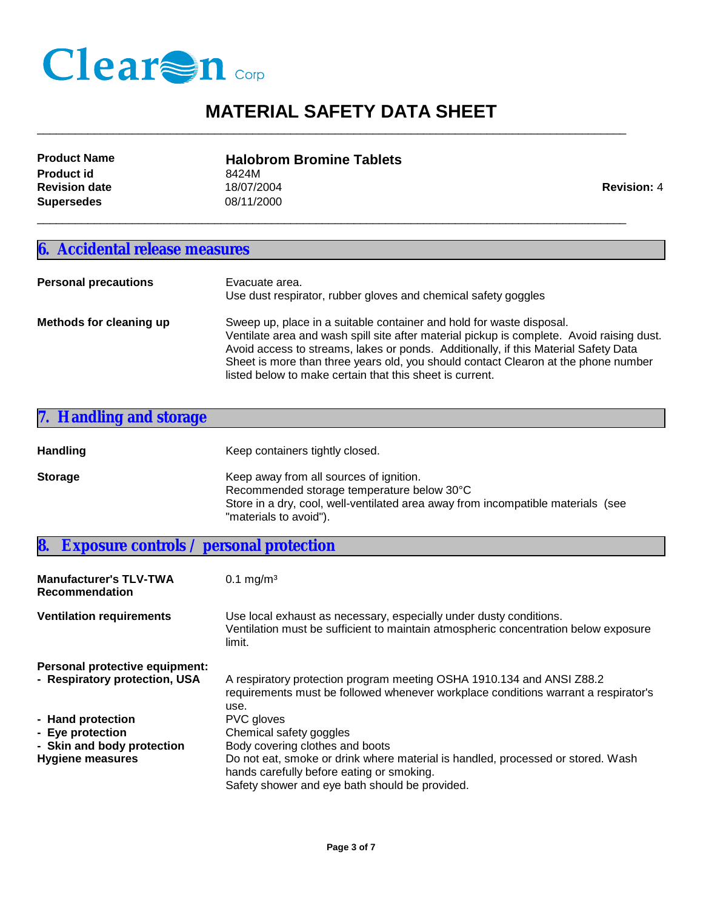

| <b>Product Name</b>  | <b>Halobrom Bromine Tablets</b> |                    |
|----------------------|---------------------------------|--------------------|
| <b>Product id</b>    | 8424M                           |                    |
| <b>Revision date</b> | 18/07/2004                      | <b>Revision: 4</b> |
| Supersedes           | 08/11/2000                      |                    |

 $\_$  ,  $\_$  ,  $\_$  ,  $\_$  ,  $\_$  ,  $\_$  ,  $\_$  ,  $\_$  ,  $\_$  ,  $\_$  ,  $\_$  ,  $\_$  ,  $\_$  ,  $\_$  ,  $\_$  ,  $\_$  ,  $\_$  ,  $\_$  ,  $\_$  ,  $\_$  ,  $\_$  ,  $\_$  ,  $\_$  ,  $\_$  ,  $\_$  ,  $\_$  ,  $\_$  ,  $\_$  ,  $\_$  ,  $\_$  ,  $\_$  ,  $\_$  ,  $\_$  ,  $\_$  ,  $\_$  ,  $\_$  ,  $\_$  ,

\_\_\_\_\_\_\_\_\_\_\_\_\_\_\_\_\_\_\_\_\_\_\_\_\_\_\_\_\_\_\_\_\_\_\_\_\_\_\_\_\_\_\_\_\_\_\_\_\_\_\_\_\_\_\_\_\_\_\_\_\_\_\_\_\_\_\_\_\_\_\_\_\_\_\_\_\_\_\_\_\_\_\_\_\_\_\_\_\_\_\_\_\_

#### **6. Accidental release measures**

| <b>Personal precautions</b> | Evacuate area.<br>Use dust respirator, rubber gloves and chemical safety goggles                                                                                                                                                                                                                                                                                                                           |
|-----------------------------|------------------------------------------------------------------------------------------------------------------------------------------------------------------------------------------------------------------------------------------------------------------------------------------------------------------------------------------------------------------------------------------------------------|
| Methods for cleaning up     | Sweep up, place in a suitable container and hold for waste disposal.<br>Ventilate area and wash spill site after material pickup is complete. Avoid raising dust.<br>Avoid access to streams, lakes or ponds. Additionally, if this Material Safety Data<br>Sheet is more than three years old, you should contact Clearon at the phone number<br>listed below to make certain that this sheet is current. |

| 7. Handling and storage |                                                                                                            |
|-------------------------|------------------------------------------------------------------------------------------------------------|
| <b>Handling</b>         | Keep containers tightly closed.                                                                            |
| <b>Storage</b>          | Keep away from all sources of ignition.<br>Recommended storage temperature below 30°C                      |
|                         | Store in a dry, cool, well-ventilated area away from incompatible materials (see<br>"materials to avoid"). |

**8. Exposure controls / personal protection Manufacturer's TLV-TWA Recommendation**  $0.1$  mg/m<sup>3</sup> **Ventilation requirements** Use local exhaust as necessary, especially under dusty conditions. Ventilation must be sufficient to maintain atmospheric concentration below exposure limit. **Personal protective equipment:**  - Respiratory protection, USA A respiratory protection program meeting OSHA 1910.134 and ANSI Z88.2 requirements must be followed whenever workplace conditions warrant a respirator's use. **- Hand protection** PVC gloves **- Eye protection** Chemical safety goggles - **Skin and body protection** Body covering clothes and boots **Hygiene measures** Do not eat, smoke or drink where material is handled, processed or stored. Wash hands carefully before eating or smoking.

Safety shower and eye bath should be provided.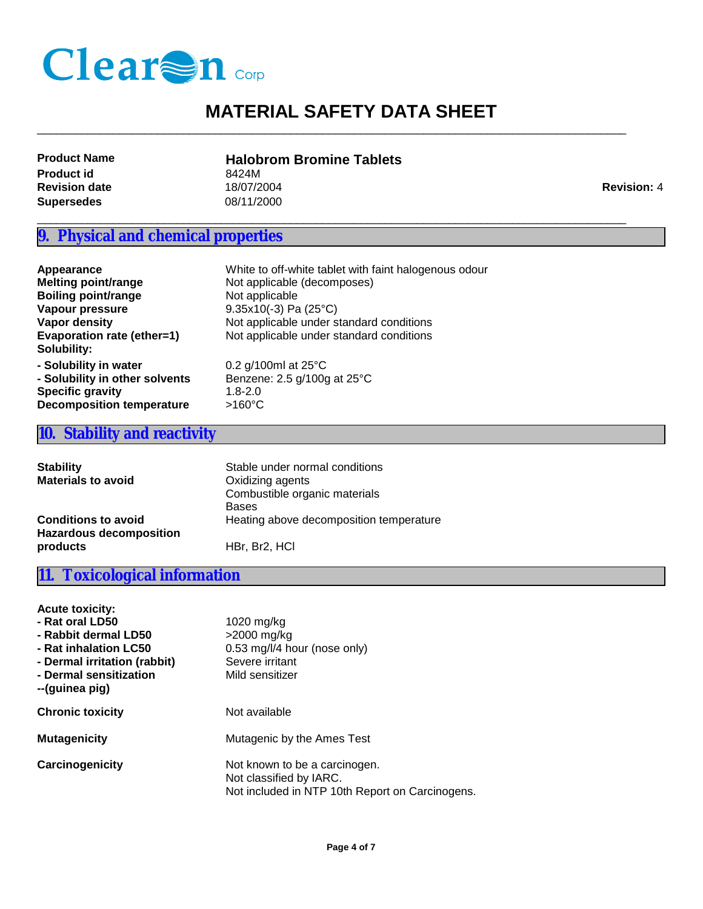

 $\_$  ,  $\_$  ,  $\_$  ,  $\_$  ,  $\_$  ,  $\_$  ,  $\_$  ,  $\_$  ,  $\_$  ,  $\_$  ,  $\_$  ,  $\_$  ,  $\_$  ,  $\_$  ,  $\_$  ,  $\_$  ,  $\_$  ,  $\_$  ,  $\_$  ,  $\_$  ,  $\_$  ,  $\_$  ,  $\_$  ,  $\_$  ,  $\_$  ,  $\_$  ,  $\_$  ,  $\_$  ,  $\_$  ,  $\_$  ,  $\_$  ,  $\_$  ,  $\_$  ,  $\_$  ,  $\_$  ,  $\_$  ,  $\_$  ,

\_\_\_\_\_\_\_\_\_\_\_\_\_\_\_\_\_\_\_\_\_\_\_\_\_\_\_\_\_\_\_\_\_\_\_\_\_\_\_\_\_\_\_\_\_\_\_\_\_\_\_\_\_\_\_\_\_\_\_\_\_\_\_\_\_\_\_\_\_\_\_\_\_\_\_\_\_\_\_\_\_\_\_\_\_\_\_\_\_\_\_\_\_

**Product id**<br>**Revision date** 6 (18/07/2004) **Supersedes** 08/11/2000 **Revision date** 18/07/2004 **Revision: 4 Revision: 4 Revision: 4** 

# **Product Name Halobrom Bromine Tablets**

#### **9. Physical and chemical properties**

| Appearance                       | White to off-white tablet with faint halogenous odour |
|----------------------------------|-------------------------------------------------------|
| <b>Melting point/range</b>       | Not applicable (decomposes)                           |
| <b>Boiling point/range</b>       | Not applicable                                        |
| Vapour pressure                  | $9.35x10(-3)$ Pa (25°C)                               |
| Vapor density                    | Not applicable under standard conditions              |
| Evaporation rate (ether=1)       | Not applicable under standard conditions              |
| Solubility:                      |                                                       |
| - Solubility in water            | 0.2 g/100ml at $25^{\circ}$ C                         |
| - Solubility in other solvents   | Benzene: 2.5 g/100g at 25°C                           |
| <b>Specific gravity</b>          | $1.8 - 2.0$                                           |
| <b>Decomposition temperature</b> | $>160^{\circ}$ C                                      |

#### **10. Stability and reactivity**

| <b>Stability</b><br><b>Materials to avoid</b>                | Stable under normal conditions<br>Oxidizing agents<br>Combustible organic materials<br><b>Bases</b> |
|--------------------------------------------------------------|-----------------------------------------------------------------------------------------------------|
| <b>Conditions to avoid</b><br><b>Hazardous decomposition</b> | Heating above decomposition temperature                                                             |
| products                                                     | HBr. Br <sub>2</sub> . HCI                                                                          |

#### **11. Toxicological information**

| <b>Acute toxicity:</b><br>- Rat oral LD50<br>- Rabbit dermal LD50<br>- Rat inhalation LC50<br>- Dermal irritation (rabbit)<br>- Dermal sensitization<br>--(guinea pig) | 1020 mg/kg<br>$>2000$ mg/kg<br>0.53 mg/l/4 hour (nose only)<br>Severe irritant<br>Mild sensitizer           |
|------------------------------------------------------------------------------------------------------------------------------------------------------------------------|-------------------------------------------------------------------------------------------------------------|
| <b>Chronic toxicity</b>                                                                                                                                                | Not available                                                                                               |
| <b>Mutagenicity</b>                                                                                                                                                    | Mutagenic by the Ames Test                                                                                  |
| Carcinogenicity                                                                                                                                                        | Not known to be a carcinogen.<br>Not classified by IARC.<br>Not included in NTP 10th Report on Carcinogens. |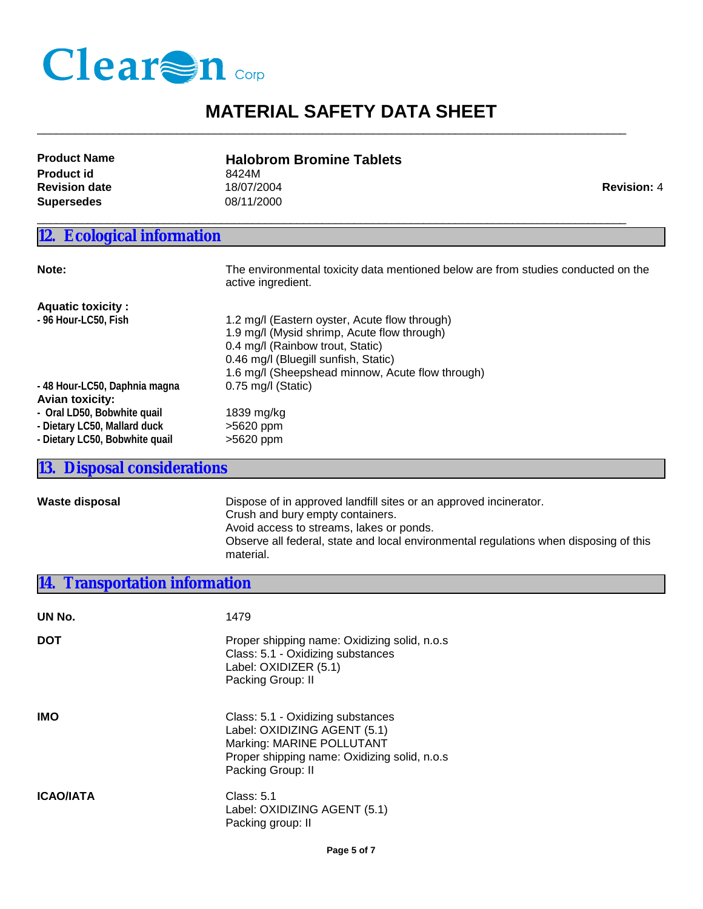

 $\_$  ,  $\_$  ,  $\_$  ,  $\_$  ,  $\_$  ,  $\_$  ,  $\_$  ,  $\_$  ,  $\_$  ,  $\_$  ,  $\_$  ,  $\_$  ,  $\_$  ,  $\_$  ,  $\_$  ,  $\_$  ,  $\_$  ,  $\_$  ,  $\_$  ,  $\_$  ,  $\_$  ,  $\_$  ,  $\_$  ,  $\_$  ,  $\_$  ,  $\_$  ,  $\_$  ,  $\_$  ,  $\_$  ,  $\_$  ,  $\_$  ,  $\_$  ,  $\_$  ,  $\_$  ,  $\_$  ,  $\_$  ,  $\_$  ,

\_\_\_\_\_\_\_\_\_\_\_\_\_\_\_\_\_\_\_\_\_\_\_\_\_\_\_\_\_\_\_\_\_\_\_\_\_\_\_\_\_\_\_\_\_\_\_\_\_\_\_\_\_\_\_\_\_\_\_\_\_\_\_\_\_\_\_\_\_\_\_\_\_\_\_\_\_\_\_\_\_\_\_\_\_\_\_\_\_\_\_\_\_

| <b>Product Name</b>  | <b>Halobrom Bromine Tablets</b> |                    |
|----------------------|---------------------------------|--------------------|
| <b>Product id</b>    | 8424M                           |                    |
| <b>Revision date</b> | 18/07/2004                      | <b>Revision: 4</b> |
| Supersedes           | 08/11/2000                      |                    |

## **12. Ecological information**

| Note:                                                          | The environmental toxicity data mentioned below are from studies conducted on the<br>active ingredient.                                                                                                                      |
|----------------------------------------------------------------|------------------------------------------------------------------------------------------------------------------------------------------------------------------------------------------------------------------------------|
| <b>Aquatic toxicity:</b>                                       |                                                                                                                                                                                                                              |
| - 96 Hour-LC50, Fish                                           | 1.2 mg/l (Eastern oyster, Acute flow through)<br>1.9 mg/l (Mysid shrimp, Acute flow through)<br>0.4 mg/l (Rainbow trout, Static)<br>0.46 mg/l (Bluegill sunfish, Static)<br>1.6 mg/l (Sheepshead minnow, Acute flow through) |
| -48 Hour-LC50, Daphnia magna                                   | $0.75$ mg/l (Static)                                                                                                                                                                                                         |
| <b>Avian toxicity:</b><br>- Oral LD50, Bobwhite quail          | 1839 mg/kg                                                                                                                                                                                                                   |
| - Dietary LC50, Mallard duck<br>- Dietary LC50, Bobwhite quail | $>5620$ ppm<br>>5620 ppm                                                                                                                                                                                                     |

#### **13. Disposal considerations**

**Waste disposal** Dispose of in approved landfill sites or an approved incinerator. Crush and bury empty containers. Avoid access to streams, lakes or ponds. Observe all federal, state and local environmental regulations when disposing of this material.

## **14. Transportation information**

| UN No.           | 1479                                                                                                                                                                |
|------------------|---------------------------------------------------------------------------------------------------------------------------------------------------------------------|
| DOT              | Proper shipping name: Oxidizing solid, n.o.s<br>Class: 5.1 - Oxidizing substances<br>Label: OXIDIZER (5.1)<br>Packing Group: II                                     |
| IMO              | Class: 5.1 - Oxidizing substances<br>Label: OXIDIZING AGENT (5.1)<br>Marking: MARINE POLLUTANT<br>Proper shipping name: Oxidizing solid, n.o.s<br>Packing Group: II |
| <b>ICAO/IATA</b> | Class: 5.1<br>Label: OXIDIZING AGENT (5.1)<br>Packing group: II                                                                                                     |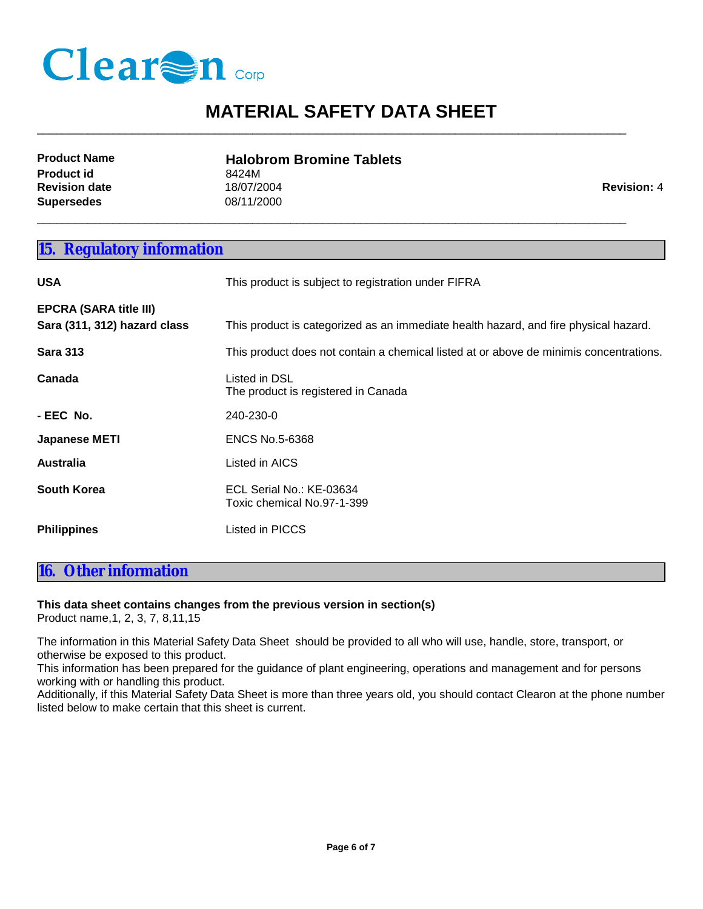

 $\_$  ,  $\_$  ,  $\_$  ,  $\_$  ,  $\_$  ,  $\_$  ,  $\_$  ,  $\_$  ,  $\_$  ,  $\_$  ,  $\_$  ,  $\_$  ,  $\_$  ,  $\_$  ,  $\_$  ,  $\_$  ,  $\_$  ,  $\_$  ,  $\_$  ,  $\_$  ,  $\_$  ,  $\_$  ,  $\_$  ,  $\_$  ,  $\_$  ,  $\_$  ,  $\_$  ,  $\_$  ,  $\_$  ,  $\_$  ,  $\_$  ,  $\_$  ,  $\_$  ,  $\_$  ,  $\_$  ,  $\_$  ,  $\_$  ,

\_\_\_\_\_\_\_\_\_\_\_\_\_\_\_\_\_\_\_\_\_\_\_\_\_\_\_\_\_\_\_\_\_\_\_\_\_\_\_\_\_\_\_\_\_\_\_\_\_\_\_\_\_\_\_\_\_\_\_\_\_\_\_\_\_\_\_\_\_\_\_\_\_\_\_\_\_\_\_\_\_\_\_\_\_\_\_\_\_\_\_\_\_

| <b>Product Name</b>  | <b>Halobrom Bromine Tablets</b> |                    |
|----------------------|---------------------------------|--------------------|
| <b>Product id</b>    | 8424M                           |                    |
| <b>Revision date</b> | 18/07/2004                      | <b>Revision: 4</b> |
| Supersedes           | 08/11/2000                      |                    |

#### **15. Regulatory information**

| <b>USA</b>                                                    | This product is subject to registration under FIFRA                                    |  |
|---------------------------------------------------------------|----------------------------------------------------------------------------------------|--|
| <b>EPCRA (SARA title III)</b><br>Sara (311, 312) hazard class | This product is categorized as an immediate health hazard, and fire physical hazard.   |  |
| <b>Sara 313</b>                                               | This product does not contain a chemical listed at or above de minimis concentrations. |  |
| Canada                                                        | Listed in DSL<br>The product is registered in Canada                                   |  |
| - EEC No.                                                     | 240-230-0                                                                              |  |
| <b>Japanese METI</b>                                          | <b>ENCS No.5-6368</b>                                                                  |  |
| <b>Australia</b>                                              | Listed in AICS                                                                         |  |
| South Korea                                                   | ECL Serial No.: KE-03634<br>Toxic chemical No.97-1-399                                 |  |
| <b>Philippines</b>                                            | Listed in PICCS                                                                        |  |

#### **16. Other information**

#### **This data sheet contains changes from the previous version in section(s)**

Product name,1, 2, 3, 7, 8,11,15

The information in this Material Safety Data Sheet should be provided to all who will use, handle, store, transport, or otherwise be exposed to this product.

This information has been prepared for the guidance of plant engineering, operations and management and for persons working with or handling this product.

Additionally, if this Material Safety Data Sheet is more than three years old, you should contact Clearon at the phone number listed below to make certain that this sheet is current.